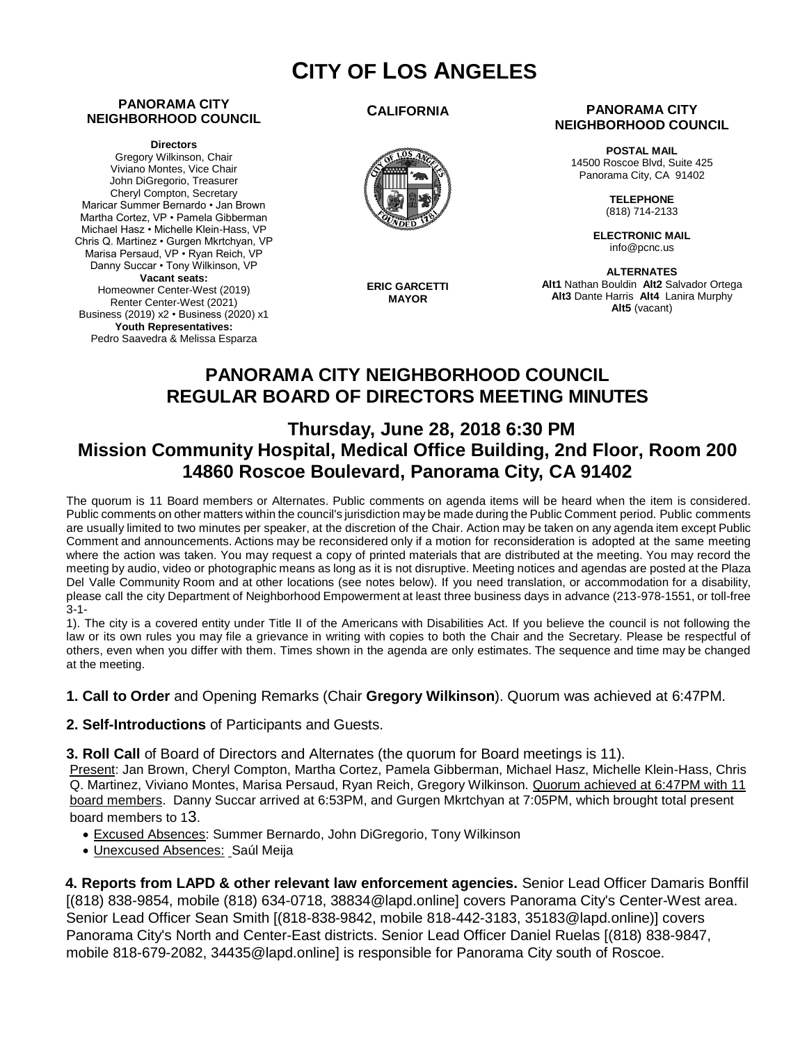# **CITY OF LOS ANGELES**

#### **PANORAMA CITY NEIGHBORHOOD COUNCIL**

#### **Directors**

Gregory Wilkinson, Chair Viviano Montes, Vice Chair John DiGregorio, Treasurer Cheryl Compton, Secretary Maricar Summer Bernardo • Jan Brown Martha Cortez, VP • Pamela Gibberman Michael Hasz • Michelle Klein-Hass, VP Chris Q. Martinez • Gurgen Mkrtchyan, VP Marisa Persaud, VP • Ryan Reich, VP Danny Succar • Tony Wilkinson, VP **Vacant seats:**  Homeowner Center-West (2019) Renter Center-West (2021) Business (2019) x2 • Business (2020) x1 **Youth Representatives:** 

Pedro Saavedra & Melissa Esparza

#### **CALIFORNIA**



**ERIC GARCETTI MAYOR**

#### **PANORAMA CITY NEIGHBORHOOD COUNCIL**

**POSTAL MAIL** 14500 Roscoe Blvd, Suite 425 Panorama City, CA 91402

> **TELEPHONE** (818) 714-2133

**ELECTRONIC MAIL** info@pcnc.us

**ALTERNATES Alt1** Nathan Bouldin **Alt2** Salvador Ortega **Alt3** Dante Harris **Alt4** Lanira Murphy **Alt5** (vacant)

# **PANORAMA CITY NEIGHBORHOOD COUNCIL REGULAR BOARD OF DIRECTORS MEETING MINUTES**

## **Thursday, June 28, 2018 6:30 PM Mission Community Hospital, Medical Office Building, 2nd Floor, Room 200 14860 Roscoe Boulevard, Panorama City, CA 91402**

The quorum is 11 Board members or Alternates. Public comments on agenda items will be heard when the item is considered. Public comments on other matters within the council's jurisdiction may be made during the Public Comment period. Public comments are usually limited to two minutes per speaker, at the discretion of the Chair. Action may be taken on any agenda item except Public Comment and announcements. Actions may be reconsidered only if a motion for reconsideration is adopted at the same meeting where the action was taken. You may request a copy of printed materials that are distributed at the meeting. You may record the meeting by audio, video or photographic means as long as it is not disruptive. Meeting notices and agendas are posted at the Plaza Del Valle Community Room and at other locations (see notes below). If you need translation, or accommodation for a disability, please call the city Department of Neighborhood Empowerment at least three business days in advance (213-978-1551, or toll-free 3-1-

1). The city is a covered entity under Title II of the Americans with Disabilities Act. If you believe the council is not following the law or its own rules you may file a grievance in writing with copies to both the Chair and the Secretary. Please be respectful of others, even when you differ with them. Times shown in the agenda are only estimates. The sequence and time may be changed at the meeting.

**1. Call to Order** and Opening Remarks (Chair **Gregory Wilkinson**). Quorum was achieved at 6:47PM.

**2. Self-Introductions** of Participants and Guests.

**3. Roll Call** of Board of Directors and Alternates (the quorum for Board meetings is 11).

Present: Jan Brown, Cheryl Compton, Martha Cortez, Pamela Gibberman, Michael Hasz, Michelle Klein-Hass, Chris Q. Martinez, Viviano Montes, Marisa Persaud, Ryan Reich, Gregory Wilkinson. Quorum achieved at 6:47PM with 11 board members. Danny Succar arrived at 6:53PM, and Gurgen Mkrtchyan at 7:05PM, which brought total present board members to 13.

- Excused Absences: Summer Bernardo, John DiGregorio, Tony Wilkinson
- Unexcused Absences: Saúl Meija

**4. Reports from LAPD & other relevant law enforcement agencies.** Senior Lead Officer Damaris Bonffil [(818) 838-9854, mobile (818) 634-0718, [38834@lapd.online](mailto:38834@lapd.online)] covers Panorama City's Center-West area. Senior Lead Officer Sean Smith [(818-838-9842, mobile 818-442-3183, [35183@lapd.online](mailto:35183@lapd.online))] covers Panorama City's North and Center-East districts. Senior Lead Officer Daniel Ruelas [(818) 838-9847, mobile 818-679-208[2, 34435@lapd.online](mailto:34435@lapd.online)] is responsible for Panorama City south of Roscoe.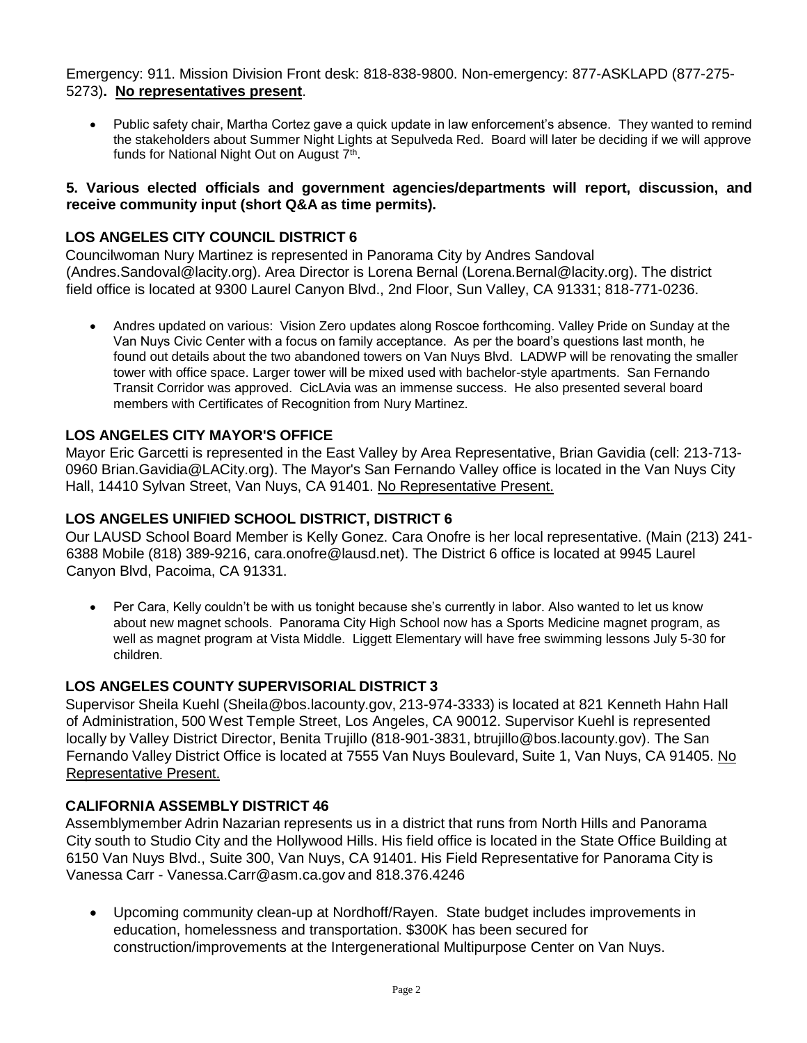Emergency: 911. Mission Division Front desk: 818-838-9800. Non-emergency: 877-ASKLAPD (877-275- 5273)**. No representatives present**.

• Public safety chair, Martha Cortez gave a quick update in law enforcement's absence. They wanted to remind the stakeholders about Summer Night Lights at Sepulveda Red. Board will later be deciding if we will approve funds for National Night Out on August 7<sup>th</sup>.

#### **5. Various elected officials and government agencies/departments will report, discussion, and receive community input (short Q&A as time permits).**

### **LOS ANGELES CITY COUNCIL DISTRICT 6**

Councilwoman Nury Martinez is represented in Panorama City by Andres Sandoval (Andre[s.Sandoval@lacity.org](mailto:Sandoval@lacity.org)). Area Director is Lorena Bernal (Lore[na.Bernal@lacity.org\)](mailto:Bernal@lacity.org). The district field office is located at 9300 Laurel Canyon Blvd., 2nd Floor, Sun Valley, CA 91331; 818-771-0236.

• Andres updated on various: Vision Zero updates along Roscoe forthcoming. Valley Pride on Sunday at the Van Nuys Civic Center with a focus on family acceptance. As per the board's questions last month, he found out details about the two abandoned towers on Van Nuys Blvd. LADWP will be renovating the smaller tower with office space. Larger tower will be mixed used with bachelor-style apartments. San Fernando Transit Corridor was approved. CicLAvia was an immense success. He also presented several board members with Certificates of Recognition from Nury Martinez.

#### **LOS ANGELES CITY MAYOR'S OFFICE**

Mayor Eric Garcetti is represented in the East Valley by Area Representative, Brian Gavidia (cell: 213-713- 0960 Bri[an.Gavidia@LACity.org\)](mailto:Gavidia@LACity.org). The Mayor's San Fernando Valley office is located in the Van Nuys City Hall, 14410 Sylvan Street, Van Nuys, CA 91401. No Representative Present.

#### **LOS ANGELES UNIFIED SCHOOL DISTRICT, DISTRICT 6**

Our LAUSD School Board Member is Kelly Gonez. Cara Onofre is her local representative. (Main (213) 241- 6388 Mobile (818) 389-9216, [cara.onofre@lausd.net\).](mailto:onofre@lausd.net) The District 6 office is located at 9945 Laurel Canyon Blvd, Pacoima, CA 91331.

• Per Cara, Kelly couldn't be with us tonight because she's currently in labor. Also wanted to let us know about new magnet schools. Panorama City High School now has a Sports Medicine magnet program, as well as magnet program at Vista Middle. Liggett Elementary will have free swimming lessons July 5-30 for children.

#### **LOS ANGELES COUNTY SUPERVISORIAL DISTRICT 3**

Supervisor Sheila Kuehl [\(Sheila@bos.lacounty.gov,](mailto:Sheila@bos.lacounty.gov) 213-974-3333) is located at 821 Kenneth Hahn Hall of Administration, 500 West Temple Street, Los Angeles, CA 90012. Supervisor Kuehl is represented locally by Valley District Director, Benita Trujillo (818-901-3831, [btrujillo@bos.lacounty.gov\)](mailto:btrujillo@bos.lacounty.gov). The San Fernando Valley District Office is located at 7555 Van Nuys Boulevard, Suite 1, Van Nuys, CA 91405. No Representative Present.

#### **CALIFORNIA ASSEMBLY DISTRICT 46**

Assemblymember Adrin Nazarian represents us in a district that runs from North Hills and Panorama City south to Studio City and the Hollywood Hills. His field office is located in the State Office Building at 6150 Van Nuys Blvd., Suite 300, Van Nuys, CA 91401. His Field Representative for Panorama City is Vanessa Carr - Vanes[sa.Carr@asm.ca.gov](mailto:Carr@asm.ca.gov) and 818.376.4246

• Upcoming community clean-up at Nordhoff/Rayen. State budget includes improvements in education, homelessness and transportation. \$300K has been secured for construction/improvements at the Intergenerational Multipurpose Center on Van Nuys.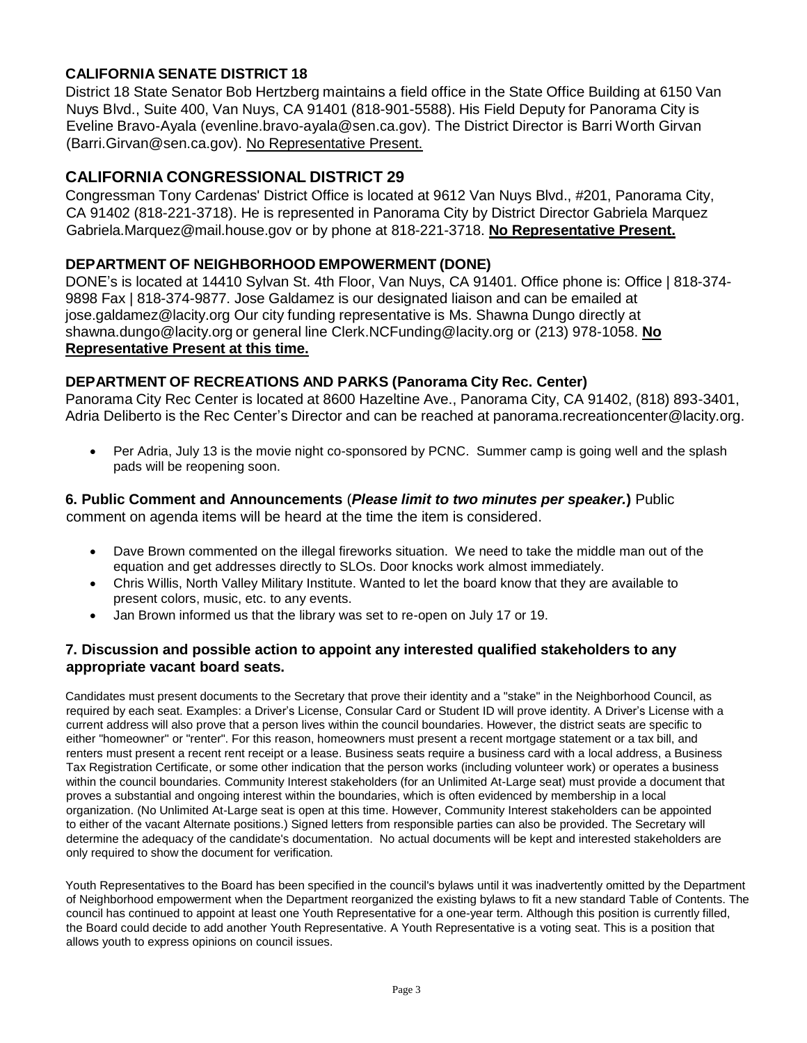### **CALIFORNIA SENATE DISTRICT 18**

District 18 State Senator Bob Hertzberg maintains a field office in the State Office Building at 6150 Van Nuys Blvd., Suite 400, Van Nuys, CA 91401 (818-901-5588). His Field Deputy for Panorama City is Eveline Bravo-Ayala (evenlin[e.bravo-ayala@sen.ca.gov\)](mailto:bravo-ayala@sen.ca.gov). The District Director is Barri Worth Girvan (Barr[i.Girvan@sen.ca.gov](mailto:Girvan@sen.ca.gov)). No Representative Present.

#### **CALIFORNIA CONGRESSIONAL DISTRICT 29**

Congressman Tony Cardenas' District Office is located at 9612 Van Nuys Blvd., #201, Panorama City, CA 91402 (818-221-3718). He is represented in Panorama City by District Director Gabriela Marquez Gabri[ela.Marquez@mail.house.gov](mailto:Marquez@mail.house.gov) or by phone at 818-221-3718. **No Representative Present.**

#### **DEPARTMENT OF NEIGHBORHOOD EMPOWERMENT (DONE)**

DONE's is located at 14410 Sylvan St. 4th Floor, Van Nuys, CA 91401. Office phone is: Office | 818-374- 9898 Fax | 818-374-9877. Jose Galdamez is our designated liaison and can be emailed at jo[se.galdamez@lacity.org](mailto:galdamez@lacity.org) Our city funding representative is Ms. Shawna Dungo directly at sh[awna.dungo@lacity.org](mailto:dungo@lacity.org) or general line Cler[k.NCFunding@lacity.org](mailto:NCFunding@lacity.org) or (213) 978-1058. **No Representative Present at this time.**

#### **DEPARTMENT OF RECREATIONS AND PARKS (Panorama City Rec. Center)**

Panorama City Rec Center is located at 8600 Hazeltine Ave., Panorama City, CA 91402, (818) 893-3401, Adria Deliberto is the Rec Center's Director and can be reached at panora[ma.recreationcenter@lacity.org.](mailto:recreationcenter@lacity.org)

• Per Adria, July 13 is the movie night co-sponsored by PCNC. Summer camp is going well and the splash pads will be reopening soon.

### **6. Public Comment and Announcements** (*Please limit to two minutes per speaker.***)** Public

comment on agenda items will be heard at the time the item is considered.

- Dave Brown commented on the illegal fireworks situation. We need to take the middle man out of the equation and get addresses directly to SLOs. Door knocks work almost immediately.
- Chris Willis, North Valley Military Institute. Wanted to let the board know that they are available to present colors, music, etc. to any events.
- Jan Brown informed us that the library was set to re-open on July 17 or 19.

#### **7. Discussion and possible action to appoint any interested qualified stakeholders to any appropriate vacant board seats.**

Candidates must present documents to the Secretary that prove their identity and a "stake" in the Neighborhood Council, as required by each seat. Examples: a Driver's License, Consular Card or Student ID will prove identity. A Driver's License with a current address will also prove that a person lives within the council boundaries. However, the district seats are specific to either "homeowner" or "renter". For this reason, homeowners must present a recent mortgage statement or a tax bill, and renters must present a recent rent receipt or a lease. Business seats require a business card with a local address, a Business Tax Registration Certificate, or some other indication that the person works (including volunteer work) or operates a business within the council boundaries. Community Interest stakeholders (for an Unlimited At-Large seat) must provide a document that proves a substantial and ongoing interest within the boundaries, which is often evidenced by membership in a local organization. (No Unlimited At-Large seat is open at this time. However, Community Interest stakeholders can be appointed to either of the vacant Alternate positions.) Signed letters from responsible parties can also be provided. The Secretary will determine the adequacy of the candidate's documentation. No actual documents will be kept and interested stakeholders are only required to show the document for verification.

Youth Representatives to the Board has been specified in the council's bylaws until it was inadvertently omitted by the Department of Neighborhood empowerment when the Department reorganized the existing bylaws to fit a new standard Table of Contents. The council has continued to appoint at least one Youth Representative for a one-year term. Although this position is currently filled, the Board could decide to add another Youth Representative. A Youth Representative is a voting seat. This is a position that allows youth to express opinions on council issues.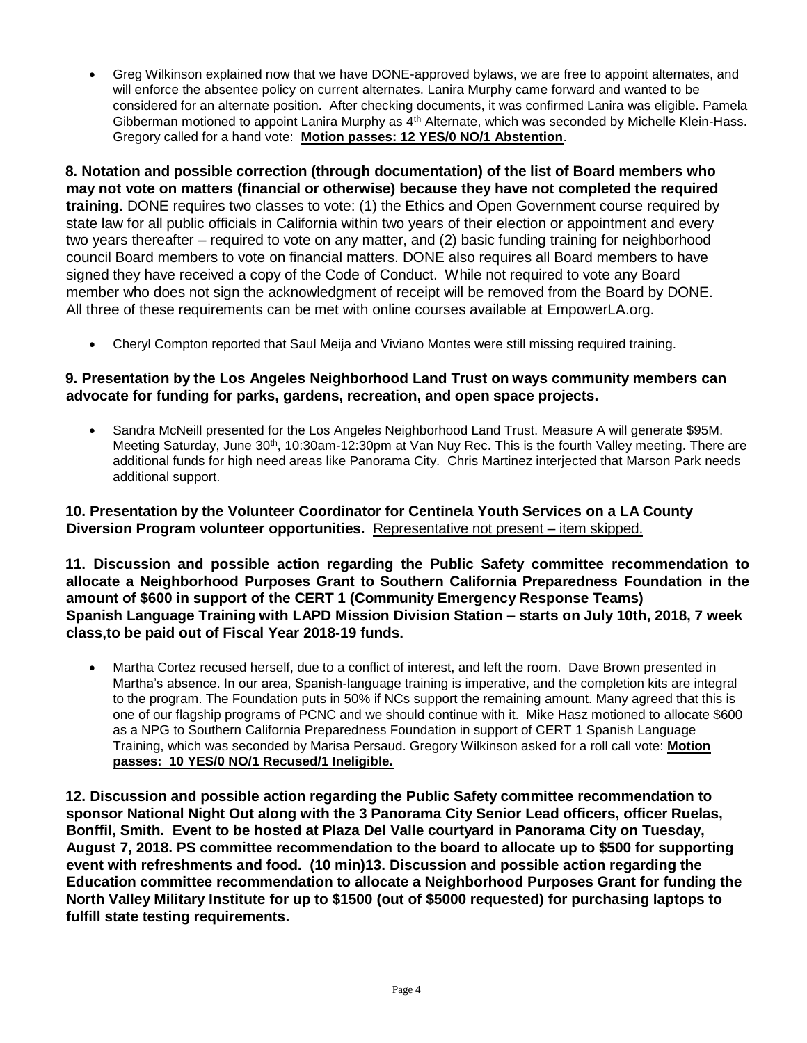• Greg Wilkinson explained now that we have DONE-approved bylaws, we are free to appoint alternates, and will enforce the absentee policy on current alternates. Lanira Murphy came forward and wanted to be considered for an alternate position. After checking documents, it was confirmed Lanira was eligible. Pamela Gibberman motioned to appoint Lanira Murphy as 4<sup>th</sup> Alternate, which was seconded by Michelle Klein-Hass. Gregory called for a hand vote: **Motion passes: 12 YES/0 NO/1 Abstention**.

**8. Notation and possible correction (through documentation) of the list of Board members who may not vote on matters (financial or otherwise) because they have not completed the required training.** DONE requires two classes to vote: (1) the Ethics and Open Government course required by state law for all public officials in California within two years of their election or appointment and every two years thereafter – required to vote on any matter, and (2) basic funding training for neighborhood council Board members to vote on financial matters. DONE also requires all Board members to have signed they have received a copy of the Code of Conduct. While not required to vote any Board member who does not sign the acknowledgment of receipt will be removed from the Board by DONE. All three of these requirements can be met with online courses available at EmpowerLA.org.

• Cheryl Compton reported that Saul Meija and Viviano Montes were still missing required training.

#### **9. Presentation by the Los Angeles Neighborhood Land Trust on ways community members can advocate for funding for parks, gardens, recreation, and open space projects.**

• Sandra McNeill presented for the Los Angeles Neighborhood Land Trust. Measure A will generate \$95M. Meeting Saturday, June 30<sup>th</sup>, 10:30am-12:30pm at Van Nuy Rec. This is the fourth Valley meeting. There are additional funds for high need areas like Panorama City. Chris Martinez interjected that Marson Park needs additional support.

#### **10. Presentation by the Volunteer Coordinator for Centinela Youth Services on a LA County Diversion Program volunteer opportunities.** Representative not present – item skipped.

**11. Discussion and possible action regarding the Public Safety committee recommendation to allocate a Neighborhood Purposes Grant to Southern California Preparedness Foundation in the amount of \$600 in support of the CERT 1 (Community Emergency Response Teams) Spanish Language Training with LAPD Mission Division Station – starts on July 10th, 2018, 7 week class,to be paid out of Fiscal Year 2018-19 funds.** 

• Martha Cortez recused herself, due to a conflict of interest, and left the room. Dave Brown presented in Martha's absence. In our area, Spanish-language training is imperative, and the completion kits are integral to the program. The Foundation puts in 50% if NCs support the remaining amount. Many agreed that this is one of our flagship programs of PCNC and we should continue with it. Mike Hasz motioned to allocate \$600 as a NPG to Southern California Preparedness Foundation in support of CERT 1 Spanish Language Training, which was seconded by Marisa Persaud. Gregory Wilkinson asked for a roll call vote: **Motion passes: 10 YES/0 NO/1 Recused/1 Ineligible.**

**12. Discussion and possible action regarding the Public Safety committee recommendation to sponsor National Night Out along with the 3 Panorama City Senior Lead officers, officer Ruelas, Bonffil, Smith. Event to be hosted at Plaza Del Valle courtyard in Panorama City on Tuesday, August 7, 2018. PS committee recommendation to the board to allocate up to \$500 for supporting event with refreshments and food. (10 min)13. Discussion and possible action regarding the Education committee recommendation to allocate a Neighborhood Purposes Grant for funding the North Valley Military Institute for up to \$1500 (out of \$5000 requested) for purchasing laptops to fulfill state testing requirements.**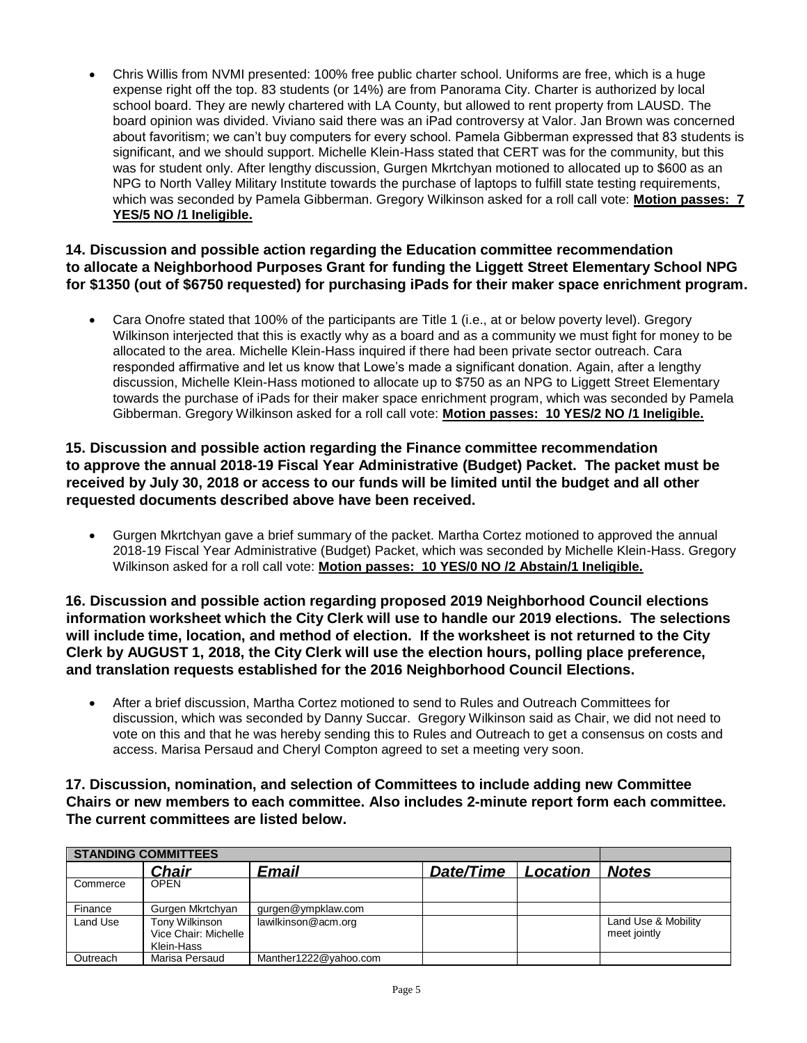• Chris Willis from NVMI presented: 100% free public charter school. Uniforms are free, which is a huge expense right off the top. 83 students (or 14%) are from Panorama City. Charter is authorized by local school board. They are newly chartered with LA County, but allowed to rent property from LAUSD. The board opinion was divided. Viviano said there was an iPad controversy at Valor. Jan Brown was concerned about favoritism; we can't buy computers for every school. Pamela Gibberman expressed that 83 students is significant, and we should support. Michelle Klein-Hass stated that CERT was for the community, but this was for student only. After lengthy discussion, Gurgen Mkrtchyan motioned to allocated up to \$600 as an NPG to North Valley Military Institute towards the purchase of laptops to fulfill state testing requirements, which was seconded by Pamela Gibberman. Gregory Wilkinson asked for a roll call vote: **Motion passes: 7 YES/5 NO /1 Ineligible.**

#### **14. Discussion and possible action regarding the Education committee recommendation to allocate a Neighborhood Purposes Grant for funding the Liggett Street Elementary School NPG for \$1350 (out of \$6750 requested) for purchasing iPads for their maker space enrichment program.**

• Cara Onofre stated that 100% of the participants are Title 1 (i.e., at or below poverty level). Gregory Wilkinson interjected that this is exactly why as a board and as a community we must fight for money to be allocated to the area. Michelle Klein-Hass inquired if there had been private sector outreach. Cara responded affirmative and let us know that Lowe's made a significant donation. Again, after a lengthy discussion, Michelle Klein-Hass motioned to allocate up to \$750 as an NPG to Liggett Street Elementary towards the purchase of iPads for their maker space enrichment program, which was seconded by Pamela Gibberman. Gregory Wilkinson asked for a roll call vote: **Motion passes: 10 YES/2 NO /1 Ineligible.**

#### **15. Discussion and possible action regarding the Finance committee recommendation to approve the annual 2018-19 Fiscal Year Administrative (Budget) Packet. The packet must be received by July 30, 2018 or access to our funds will be limited until the budget and all other requested documents described above have been received.**

• Gurgen Mkrtchyan gave a brief summary of the packet. Martha Cortez motioned to approved the annual 2018-19 Fiscal Year Administrative (Budget) Packet, which was seconded by Michelle Klein-Hass. Gregory Wilkinson asked for a roll call vote: **Motion passes: 10 YES/0 NO /2 Abstain/1 Ineligible.**

**16. Discussion and possible action regarding proposed 2019 Neighborhood Council elections information worksheet which the City Clerk will use to handle our 2019 elections. The selections will include time, location, and method of election. If the worksheet is not returned to the City Clerk by AUGUST 1, 2018, the City Clerk will use the election hours, polling place preference, and translation requests established for the 2016 Neighborhood Council Elections.** 

• After a brief discussion, Martha Cortez motioned to send to Rules and Outreach Committees for discussion, which was seconded by Danny Succar. Gregory Wilkinson said as Chair, we did not need to vote on this and that he was hereby sending this to Rules and Outreach to get a consensus on costs and access. Marisa Persaud and Cheryl Compton agreed to set a meeting very soon.

**17. Discussion, nomination, and selection of Committees to include adding new Committee Chairs or new members to each committee. Also includes 2-minute report form each committee. The current committees are listed below.** 

| <b>STANDING COMMITTEES</b> |                                                      |                       |           |          |                                     |
|----------------------------|------------------------------------------------------|-----------------------|-----------|----------|-------------------------------------|
|                            | Chair                                                | Email                 | Date/Time | Location | <b>Notes</b>                        |
| Commerce                   | <b>OPEN</b>                                          |                       |           |          |                                     |
| Finance                    | Gurgen Mkrtchyan                                     | gurgen@ympklaw.com    |           |          |                                     |
| Land Use                   | Tony Wilkinson<br>Vice Chair: Michelle<br>Klein-Hass | lawilkinson@acm.org   |           |          | Land Use & Mobility<br>meet jointly |
| Outreach                   | Marisa Persaud                                       | Manther1222@yahoo.com |           |          |                                     |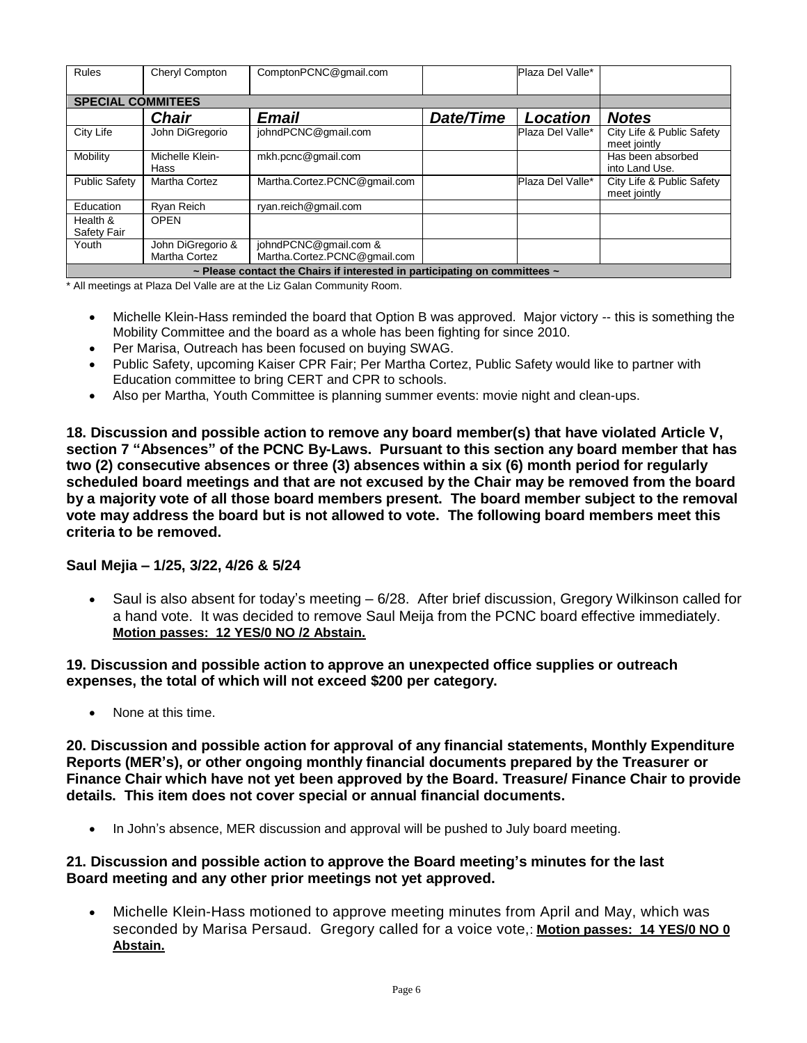| <b>Rules</b>                                                                         | Cheryl Compton                     | ComptonPCNC@qmail.com                                 |           | Plaza Del Valle* |                                           |  |  |
|--------------------------------------------------------------------------------------|------------------------------------|-------------------------------------------------------|-----------|------------------|-------------------------------------------|--|--|
| <b>SPECIAL COMMITEES</b>                                                             |                                    |                                                       |           |                  |                                           |  |  |
|                                                                                      | <b>Chair</b>                       | Email                                                 | Date/Time | Location         | <b>Notes</b>                              |  |  |
| City Life                                                                            | John DiGregorio                    | johndPCNC@gmail.com                                   |           | Plaza Del Valle* | City Life & Public Safety<br>meet jointly |  |  |
| Mobility                                                                             | Michelle Klein-<br>Hass            | mkh.pcnc@qmail.com                                    |           |                  | Has been absorbed<br>into Land Use.       |  |  |
| <b>Public Safety</b>                                                                 | <b>Martha Cortez</b>               | Martha.Cortez.PCNC@gmail.com                          |           | Plaza Del Valle* | City Life & Public Safety<br>meet jointly |  |  |
| Education                                                                            | Ryan Reich                         | ryan.reich@gmail.com                                  |           |                  |                                           |  |  |
| Health &<br>Safety Fair                                                              | <b>OPEN</b>                        |                                                       |           |                  |                                           |  |  |
| Youth                                                                                | John DiGregorio &<br>Martha Cortez | johndPCNC@gmail.com &<br>Martha.Cortez.PCNC@gmail.com |           |                  |                                           |  |  |
| $\sim$ Please contact the Chairs if interested in participating on committees $\sim$ |                                    |                                                       |           |                  |                                           |  |  |

\* All meetings at Plaza Del Valle are at the Liz Galan Community Room.

- Michelle Klein-Hass reminded the board that Option B was approved. Major victory -- this is something the Mobility Committee and the board as a whole has been fighting for since 2010.
- Per Marisa, Outreach has been focused on buying SWAG.
- Public Safety, upcoming Kaiser CPR Fair; Per Martha Cortez, Public Safety would like to partner with Education committee to bring CERT and CPR to schools.
- Also per Martha, Youth Committee is planning summer events: movie night and clean-ups.

**18. Discussion and possible action to remove any board member(s) that have violated Article V, section 7 "Absences" of the PCNC By-Laws. Pursuant to this section any board member that has two (2) consecutive absences or three (3) absences within a six (6) month period for regularly scheduled board meetings and that are not excused by the Chair may be removed from the board by a majority vote of all those board members present. The board member subject to the removal vote may address the board but is not allowed to vote. The following board members meet this criteria to be removed.** 

#### **Saul Mejia – 1/25, 3/22, 4/26 & 5/24**

• Saul is also absent for today's meeting – 6/28. After brief discussion, Gregory Wilkinson called for a hand vote. It was decided to remove Saul Meija from the PCNC board effective immediately. **Motion passes: 12 YES/0 NO /2 Abstain.**

#### **19. Discussion and possible action to approve an unexpected office supplies or outreach expenses, the total of which will not exceed \$200 per category.**

• None at this time.

**20. Discussion and possible action for approval of any financial statements, Monthly Expenditure Reports (MER's), or other ongoing monthly financial documents prepared by the Treasurer or Finance Chair which have not yet been approved by the Board. Treasure/ Finance Chair to provide details. This item does not cover special or annual financial documents.** 

• In John's absence, MER discussion and approval will be pushed to July board meeting.

#### **21. Discussion and possible action to approve the Board meeting's minutes for the last Board meeting and any other prior meetings not yet approved.**

• Michelle Klein-Hass motioned to approve meeting minutes from April and May, which was seconded by Marisa Persaud. Gregory called for a voice vote,: **Motion passes: 14 YES/0 NO 0 Abstain.**